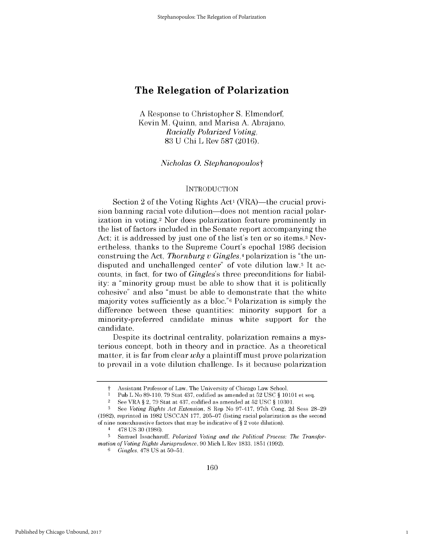**A** Response to Christopher **S.** Elmendorf, Kevin M. Quinn, and Marisa **A.** Abrajano, *Racially Polarized Voting,* **83 U Chi** L Rev **587 (2016).**

*Nicholas 0. Stephanopoulost*

#### **INTRODUCTION**

Section 2 of the Voting Rights Act<sup>1</sup> (VRA)—the crucial provision banning racial vote dilution—does not mention racial polarization in voting.2 Nor does polarization feature prominently in the list of factors included in the Senate report accompanying the Act; it is addressed **by** just one of the list's ten or so items.3 Nevertheless, thanks to the Supreme Court's epochal **1986** decision construing the Act, *Thornburg v Gingles,4* polarization is "the undisputed and unchallenged center" of vote dilution law.5 It accounts, in fact, for two of *Gingles's* three preconditions for liability: a "minority group must be able to show that it is politically cohesive" and also "must be able to demonstrate that the white majority votes sufficiently as a **bloc."6** Polarization is simply the difference between these quantities: minority support for a minority-preferred candidate minus white support for the candidate.

Despite its doctrinal centrality, polarization remains a mysterious concept, both in theory and in practice. As a theoretical matter, it is far from clear *why* a plaintiff must prove polarization to prevail in a vote dilution challenge. Is it because polarization

**<sup>6</sup>***Gingles,* **478 US** at **50-51.**

1

Assistant Professor of Law, The University of Chicago Law School.

**<sup>I</sup>**Pub L No **89-110, 79** Stat 437, codified as amended at **52 USC § 10101** et seq.

<sup>2</sup>**See** VRA **§** 2, **79** Stat at 437, codified as amended at **52 USC § 10301.**

**<sup>3</sup>See** *Voting Rights Act Extension,* **S** Rep No **97-417,** 97th Cong, **2d** Sess **28-29 (1982),** reprinted in **1982 USCCAN 177, 205-07** (listing racial polarization as the second of nine nonexhaustive factors that may **be** indicative of **§** 2 vote dilution).

<sup>4</sup>**478 US 30 (1986).**

**<sup>5</sup>** Samuel Issacharoff, *Polarized Voting and the Political Process: The Transformation of Voting Rights Jurisprudence,* **90** Mich L Rev **1833, 1851 (1992).**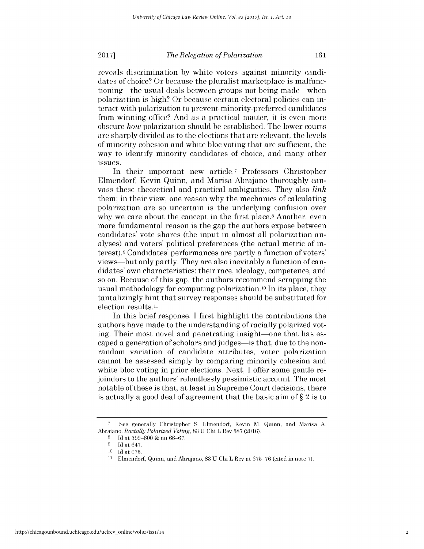reveals discrimination **by** white voters against minority candidates of choice? Or because the pluralist marketplace is malfunctioning—the usual deals between groups not being made—when polarization is **high?** Or because certain electoral policies can interact with polarization to prevent minority-preferred candidates from winning office? And as a practical matter, it is even more obscure *how* polarization should be established. The lower courts are sharply divided as to the elections that are relevant, the levels of minority cohesion and white bloc voting that are sufficient, the way to identify minority candidates of choice, and many other issues.

In their important new article,7 Professors Christopher Elmendorf, Kevin Quinn, and Marisa Abrajano thoroughly canvass these theoretical and practical ambiguities. They also *link* them; in their view, one reason why the mechanics of calculating polarization are so uncertain is the underlying confusion over why we care about the concept in the first place.<sup>8</sup> Another, even more fundamental reason is the gap the authors expose between candidates' vote shares (the input in almost all polarization analyses) and voters' political preferences (the actual metric of interest).9 Candidates' performances are partly a function of voters' views-but only partly. They are also inevitably a function of candidates' own characteristics: their race, ideology, competence, and so on. Because of this gap, the authors recommend scrapping the usual methodology for computing polarization. 10 In its place, they tantalizingly hint that survey responses should be substituted for election results.<sup>11</sup>

In this brief response, **I** first highlight the contributions the authors have made to the understanding of racially polarized voting. Their most novel and penetrating insight—one that has escaped a generation of scholars and judges—is that, due to the nonrandom variation of candidate attributes, voter polarization cannot be assessed simply **by** comparing minority cohesion and white bloc voting in prior elections. Next, I offer some gentle rejoinders to the authors' relentlessly pessimistic account. The most notable of these is that, at least in Supreme Court decisions, there is actually a good deal of agreement that the basic aim of **§** 2 is to

**<sup>7</sup>** See generally Christopher **S.** Elmendorf, Kevin M. Quinn, and Marisa **A.** Abrajano, *Racially Polarized Voting,* **83 U** Chi L Rev **587 (2016).**

**<sup>8</sup>Id** at **599-600 &** nn **66-67.**

**<sup>9</sup> Id** at 647. **10 Id** at **675.**

**<sup>11</sup>**Elmendorf, Quinn, and Abrajano, **83 U** Chi L Rev at **675-76** (cited in note **7).**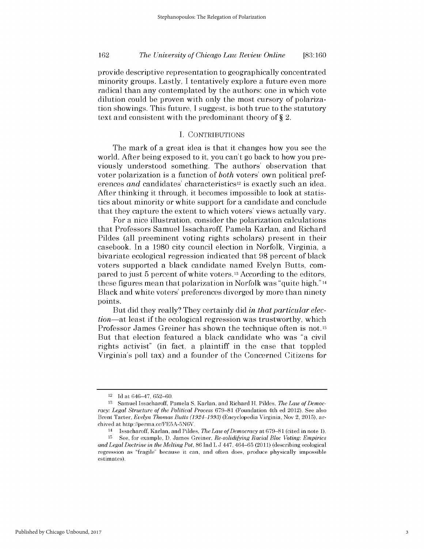## *The University of Chicago Law Review Online* **162 [83:160**

provide descriptive representation to geographically concentrated minority groups. Lastly, **I** tentatively explore a future even more radical than any contemplated **by** the authors: one in which vote dilution could be proven with only the most cursory of polarization showings. This future, **I** suggest, is both true to the statutory text and consistent with the predominant theory of **§** 2.

#### **I. CONTRIBUTIONS**

The mark of a great idea is that it changes how you see the world. After being exposed to it, you can't go back to how you previously understood something. The authors' observation that voter polarization is a function of *both* voters' own political preferences *and* candidates' characteristics<sup>12</sup> is exactly such an idea. After thinking it through, it becomes impossible to look at statistics about minority or white support for a candidate and conclude that they capture the extent to which voters' views actually vary.

For a nice illustration, consider the polarization calculations that Professors Samuel Issacharoff, Pamela Karlan, and Richard Pildes (all preeminent voting rights scholars) present in their casebook. In a **1980** city council election in Norfolk, Virginia, a bivariate ecological regression indicated that **98** percent of black voters supported a black candidate named Evelyn Butts, compared to just **5** percent of white voters. <sup>13</sup>According to the editors, these figures mean that polarization in Norfolk was "quite **high."** <sup>14</sup> Black and white voters' preferences diverged **by** more than ninety points.

But **did** they really? They certainly **did** *in that particular election-at* least **if** the ecological regression was trustworthy, which Professor James Greiner has shown the technique often is not. <sup>15</sup> But that election featured a black candidate who was "a civil rights activist" (in fact, a plaintiff in the case that toppled Virginia's poll tax) and a founder of the Concerned Citizens for

<sup>12</sup>**Id** at 646-47, **652-60.**

**<sup>13</sup>** Samuel Issacharoff, Pamela **S.** Karlan, and Richard H. Pildes, *The Law of Democracy: Legal Structure of the Political Process* **679-81** (Foundation 4th **ed** 2012). **See** also Brent Tarter, *Evelyn Thomas Butts (1924-1993)* (Encyclopedia Virginia, Nov 2, **2015),** archived at http://perma.cc/FE5A-5N6V.

<sup>14</sup>Issacharoff, Karlan, and Pildes, *The Law ofDemocracy* at **679-81** (cited in note **1).**

**<sup>15</sup>See,** for example, **D.** James Greiner, *Re-solidifying Racial Bloc Voting: Empirics and Legal Doctrine in the Melting Pot,* **86** Ind L **J** 447, 464-65 (2011) (describing ecological regression as "fragile" because **it** can, and often does, produce physically impossible estimates).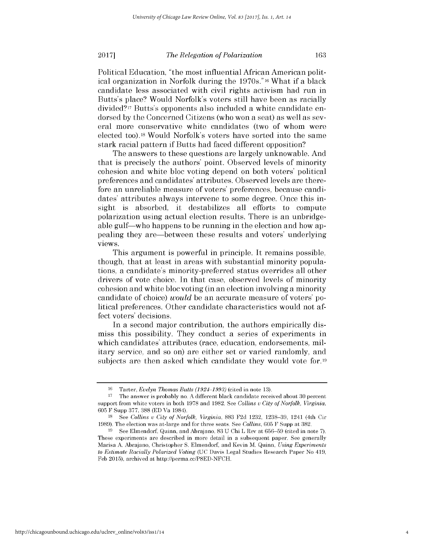Political Education, "the most influential African American political organization in Norfolk during the 1970s."16 What **if** a black candidate less associated with civil rights activism had run in Butts's place? Would Norfolk's voters still have been as racially divided?17 Butts's opponents also included a white candidate endorsed **by** the Concerned Citizens (who won a seat) as well as several more conservative white candidates (two of whom were elected **too).18** Would Norfolk's voters have sorted into the same stark racial pattern **if** Butts had faced different opposition?

The answers to these questions are largely unknowable. And that is precisely the authors' point. Observed levels of minority cohesion and white bloc voting depend on both voters' political preferences and candidates' attributes. Observed levels are therefore an unreliable measure of voters' preferences, because candidates' attributes always intervene to some degree. Once this insight is absorbed, it destabilizes all efforts to compute polarization using actual election results. There is an unbridgeable gulf—who happens to be running in the election and how appealing they are-between these results and voters' underlying views.

This argument is powerful in principle. It remains possible, though, that at least in areas with substantial minority populations, a candidate's minority-preferred status overrides all other drivers of vote choice. In that case, observed levels of minority cohesion and white bloc voting (in an election involving a minority candidate of choice) *would* be an accurate measure of voters' political preferences. Other candidate characteristics would not affect voters' decisions.

In a second major contribution, the authors empirically **dis**miss this possibility. They conduct a series of experiments in which candidates' attributes (race, education, endorsements, military service, and so on) are either set or varied randomly, and subjects are then asked which candidate they would vote for.19

**<sup>16</sup>**Tarter, *Evelyn Thomas Butts (1924-1993)* (cited in note **13).**

**<sup>17</sup>**The answer is probably no. **A** different black candidate received about **30** percent support from white voters in both **1978** and **1982. See** *Collins v City of Norfolk, Virginia,* **605** F Supp **377, 388 (ED** Va 1984).

**<sup>18</sup>***See Collins v City of Norfolk, Virginia,* **883 F2d 1232, 1238-39,** 1241 (4th Cir **1989).** The election was at-large and for three seats. **See** *Collins,* **605** F Supp at **382.**

**<sup>19</sup> See** Elmendorf, Quinn, and Abrajano, **83 U** Chi L Rev at **656-59** (cited in note **7).** These experiments are described in more detail in a subsequent paper. **See** generally Marisa **A.** Abrajano, Christopher **S.** Elmendorf, and Kevin M. Quinn, *Using Experiments to Estimate Racially Polarized Voting* **(UC** Davis Legal Studies Research Paper No 419, **Feb 2015),** archived at http://perma.cc/P8ED-NFCH.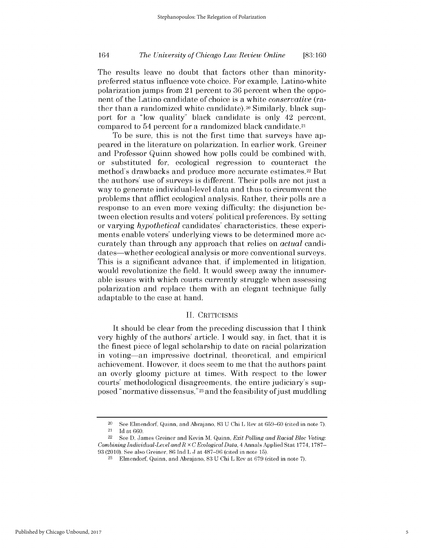## *The University of Chicago Law Review Online* 164 **[83:160**

The results leave no doubt that factors other than minoritypreferred status influence vote choice. For example, Latino-white polarization jumps from 21 percent to **36** percent when the opponent of the Latino candidate of choice is a white *conservative (ra*ther than a randomized white candidate).<sup>20</sup> Similarly, black support for a "low quality" black candidate is only 42 percent, compared to 54 percent for a randomized black candidate.21

To be sure, this is not the first time that surveys have appeared in the literature on polarization. In earlier work, Greiner and Professor Quinn showed how polls could be combined with, or substituted for, ecological regression to counteract the method's drawbacks and produce more accurate estimates.22 But the authors' use of surveys is different. Their polls are not just a way to generate individual-level data and thus to circumvent the problems that afflict ecological analysis. Rather, their polls are a response to an even more vexing difficulty: the disjunction between election results and voters' political preferences. **By** setting or varying *hypothetical* candidates' characteristics, these experiments enable voters' underlying views to be determined more accurately than through any approach that relies on *actual* candidates—whether ecological analysis or more conventional surveys. This is a significant advance that, **if** implemented in litigation, would revolutionize the field. It would sweep away the innumerable issues with which courts currently struggle when assessing polarization and replace them with an elegant technique fully adaptable to the case at hand.

#### **II.** CRITICISMS

It should be clear from the preceding discussion that **I** think very **highly** of the authors' article. **I** would say, in fact, that it **is** the finest piece of legal scholarship to date on racial polarization in voting-an impressive doctrinal, theoretical, and empirical achievement. However, it does seem to me that the authors paint an overly gloomy picture at times. With respect to the lower courts' methodological disagreements, the entire judiciary's supposed "normative dissensus,"23 and the feasibility of just muddling

<sup>20</sup> See Elmendorf, Quinn, and Abrajano, **83 U** Chi L Rev at **659-60** (cited in note **7).** <sup>21</sup>**Id** at **660.**

<sup>22</sup> See **D.** James Greiner and Kevin M. Quinn, *Exit Polling and Racial Bloc Voting:* Combining *Individual-Level andR x C Ecological Data,* 4 Annals **Applied** Stat **1774, 1787- 93** (2010). **See** also Greiner, **86** Ind L **J** at **487-96** (cited in note **15).**

**<sup>23</sup>**Elmendorf, Quinn, and Abrajano, **83 U** Chi L Rev at **679** (cited in note **7).**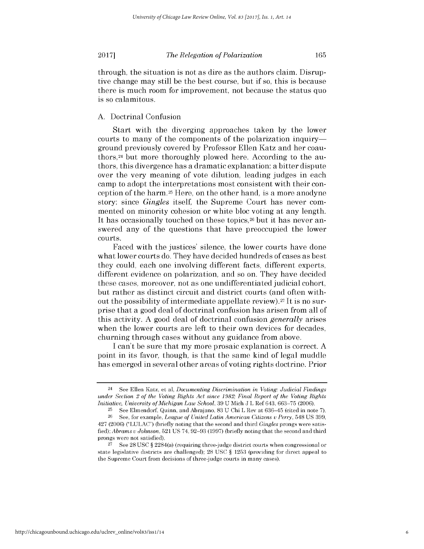#### **A.** Doctrinal Confusion

Start with the diverging approaches taken **by** the lower courts to many of the components of the polarization inquiryground previously covered **by** Professor Ellen Katz and her coauthors,<sup>24</sup> but more thoroughly plowed here. According to the authors, this divergence has a dramatic explanation: a bitter dispute over the very meaning of vote dilution, leading judges in each camp to adopt the interpretations most consistent with their conception of the harm.25 Here, on the other hand, is a more anodyne story: since *Gingles* itself, the Supreme Court has never commented on minority cohesion or white bloc voting at any length. It has occasionally touched on these topics,<sup>26</sup> but it has never answered any of the questions that have preoccupied the lower courts.

Faced with the justices' silence, the lower courts have done what lower courts do. They have decided hundreds of cases as best they could, each one involving different facts, different experts, different evidence on polarization, and so on. They have decided these cases, moreover, not as one undifferentiated judicial cohort, but rather as distinct circuit and district courts (and often without the possibility of intermediate appellate review).27 It is no surprise that a good deal of doctrinal confusion has arisen from all of this activity. **A** good deal of doctrinal confusion *generally arises* when the lower courts are left to their own devices for decades, churning through cases without any guidance from above.

**<sup>I</sup>**can't be sure that my more prosaic explanation is correct. **A** point in its favor, though, is that the same kind of legal muddle has emerged in several other areas of voting rights doctrine. Prior

<sup>24</sup> See Ellen Katz, et al, *Documenting Discrimination in Voting: Judicial Findings under Section 2 of the Voting Rights Act since 1982; Final Report of the Voting Rights Initiative, University ofMichigan Law School,* **39 U** Mich **J** L Ref 643, **663-75** (2006).

**<sup>25</sup>**See Elmendorf, Quinn, and Abrajano, **83 U** Chi L Rev at 636-45 (cited in note **7).**

**<sup>26</sup> See,** for example, *League of United Latin American Citizens v Perry,* 548 **US 399,** 427 (2006) **("LULAC")** (briefly noting that the second and third *Gingles* prongs were satis*fied); Abrams v Johnson,* **521 US** 74, **92-93 (1997)** (briefly noting that the second and third prongs were not satisfied).

**<sup>27</sup>**See **28 USC** *§* 2284(a) (requiring three-judge district courts when congressional or state legislative districts are challenged); **28 USC** *§* **1253** (providing for direct appeal to the Supreme Court from decisions of three-judge courts in many cases).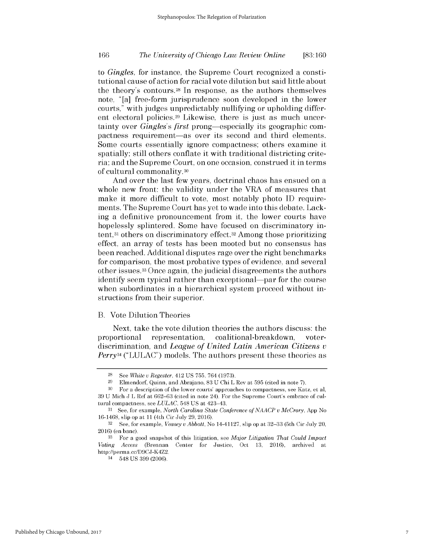## *The University of Chicago Law Review Online* **166 [83:160**

*to Gingles,* for instance, the Supreme Court recognized a constitutional cause of action for racial vote dilution but said little about the theory's contours. <sup>28</sup>In response, as the authors themselves note, "[a] free-form jurisprudence soon developed in the lower courts," with judges unpredictably nullifying or upholding different electoral policies.<sup>29</sup> Likewise, there is just as much uncertainty over *Gingles's first* prong-especially its geographic **com**pactness requirement—as over its second and third elements. Some courts essentially ignore compactness; others examine it spatially; still others conflate it with traditional districting criteria; and the Supreme Court, on one occasion, construed it in terms of cultural commonality.30

And over the last few years, doctrinal chaos has ensued on a whole new front: the validity under the VRA of measures that make it more difficult to vote, most notably photo **ID** requirements. The Supreme Court has yet to wade into this debate. Lacking a definitive pronouncement from it, the lower courts have hopelessly splintered. Some have focused on discriminatory intent,<sup>31</sup>others on discriminatory effect.32 Among those prioritizing effect, an array of tests has been mooted but no consensus has been reached. Additional disputes rage over the right benchmarks for comparison, the most probative types of evidence, and several other issues.33 Once again, the judicial disagreements the authors identify seem typical rather than exceptional—par for the course when subordinates in a hierarchical system proceed without instructions from their superior.

#### B. Vote Dilution Theories

Next, take the vote dilution theories the authors discuss: the proportional representation, coalitional-breakdown, voterdiscrimination, and *League of United Latin American Citizens <sup>v</sup> Perry34* **("LULAC")** models. The authors present these theories as

**<sup>28</sup>**See *White u Regester,* 412 **US 755,** 764 **(1973).**

**<sup>29</sup>**Elmendorf, Quinn, and Abrajano, **83 U** Chi L Rev at **595** (cited in note **7).**

**<sup>30</sup>**For a description of the lower courts' approaches to compactness, see Katz, et al, **39 U** Mich **J** L Ref at **662-63** (cited in note 24). For the Supreme Court's embrace of cultural compactness, see *LULAC,* 548 **US** at 423-43.

**<sup>31</sup> See,** for example, *North Carolina State Conference of NAACP V McCrory,* **App** No 16-1468, slip op at **11** (4th Cir July **29,** 2016).

**<sup>32</sup>See,** for example, *Veasey u Abbott,* No 14-41127, slip op at **32-33** (5th Cir July 20, 2016) (en banc).

**<sup>33</sup>**For a good snapshot of this litigation, see *Major Litigation That Could Impact Voting Access* (Brennan Center for Justice, Oct 13, 2016), archived http://perma.cc/D9CJ-K4Z2.

<sup>34</sup>548 **US 399** (2006).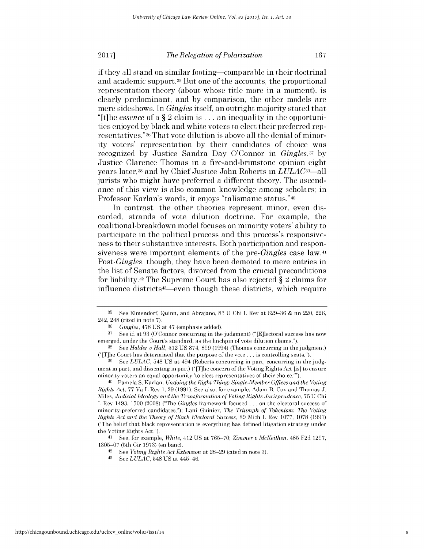if they all stand on similar footing-comparable in their doctrinal and academic support.<sup>35</sup> But one of the accounts, the proportional representation theory (about whose title more in a moment), is clearly predominant, and **by** comparison, the other models are mere sideshows. In *Gingles* itself, an outright majority stated that "[t]he *essence* of a **§** 2 claim is **...** an inequality in the opportunities enjoyed **by** black and white voters to elect their preferred representatives."36 That vote dilution is above all the denial of minority voters' representation **by** their candidates of choice was recognized **by** Justice Sandra Day O'Connor in *Gingles,37* **by** Justice Clarence Thomas in a fire-and-brimstone opinion eight years later,38 and **by** Chief Justice John Roberts in *LULAC39-all* jurists who might have preferred a different theory. The ascendance of this view is also common knowledge among scholars; in Professor Karlan's words, it enjoys "talismanic status."40

In contrast, the other theories represent minor, even **dis**carded, strands of vote dilution doctrine. For example, the coalitional-breakdown model focuses on minority voters' ability to participate in the political process and this process's responsiveness to their substantive interests. Both participation and responsiveness were important elements of the *pre-Gingles* case law.41 *Post-Gingles,* though, they have been demoted to mere entries in the list of Senate factors, divorced from the crucial preconditions for liability.42 The Supreme Court has also rejected **§** 2 claims for influence districts43-eVen though these districts, which require

<sup>41</sup>**See,** for example, *White,* 412 **US** at **765-70;** *Zimmer u McKeithen,* 485 **F2d 1297, 1305-07** (5th Cir **1973)** (en banc).

**<sup>35</sup>**See Elmendorf, Quinn, and Abrajano, **83 U** Chi L Rev at **629-36 &** nn 220, 226, 242, 248 (cited in note **7).**

*<sup>36</sup>Gingles,* **478 US** at 47 (emphasis added).

**<sup>37</sup>**See id at **93** (O'Connor concurring in the judgment) ("[E]lectoral success has now emerged, under the Court's standard, as the linchpin of vote dilution claims.").

**<sup>38</sup>***See Holder u Hall,* **512 US 874, 899** (1994) (Thomas concurring in the judgment) ("[T]he Court has determined that the purpose of the vote **...** is controlling seats.").

**<sup>39</sup> See** *LULAC,* 548 **US** at 494 (Roberts concurring in part, concurring in the **judg**ment in part, and dissenting in part) ("[T]he concern of the Voting Rights Act [is] to ensure minority voters an equal opportunity 'to elect representatives of their choice."').

<sup>40</sup>Pamela **S.** Karlan, *Undoing the Right Thing: Single-Member Offices and the Voting Rights Act,* **77** Va L Rev **1, 29 (1991). See** also, for example, Adam B. Cox and Thomas **J.** Miles, *Judicial Ideology and the Transformation of Voting Rights Jurisprudence,* **75 U** Chi L Rev 1493, **1500 (2008)** ("The *Gingles* framework focused **...** on the electoral success of minority-preferred candidates."); Lani Guinier, *The Triumph of Tokenism: The Voting Rights Act and the Theory of Black Electoral Success,* **89** Mich L Rev **1077, 1078 (1991)** ("The belief that black representation is everything has defined litigation strategy under the Voting Rights Act.").

<sup>42</sup> See *Voting Rights Act Extension* at 28–29 (cited in note 3).<br>43 See *LULAC* 548 US at 445–46

See *LULAC*, 548 US at 445-46.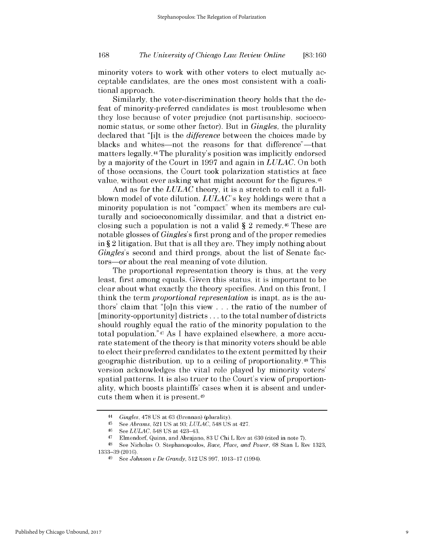minority voters to work with other voters to elect mutually acceptable candidates, are the ones most consistent with a coalitional approach.

Similarly, the voter-discrimination theory holds that the defeat of minority-preferred candidates is most troublesome when they lose because of voter prejudice (not partisanship, socioeconomic status, or some other factor). But in *Gingles,* the plurality declared that "[i]t is *the difference* between the choices made **by** blacks and whites—not the reasons for that difference"—that matters legally.44 The plurality's position was implicitly endorsed **by** a majority of the Court in **1997** and again in *LULAC.* On both of those occasions, the Court took polarization statistics at face value, without ever asking what might account for the figures.<sup>45</sup>

And as for the *LULAC* theory, it is a stretch to call it a fullblown model of vote dilution. *LULAC's* key holdings were that a minority population is not "compact" when its members are culturally and socioeconomically dissimilar, and that a district enclosing such a population is not a valid **§** 2 remedy.46 These are notable glosses of *Gingles's* first prong and of the proper remedies in **§** 2 litigation. But that is all they are. They imply nothing about *Gingles's* second and third prongs, about the list of Senate factors-or about the real meaning of vote dilution.

The proportional representation theory is thus, at the very least, first among equals. Given this status, it is important to be clear about what exactly the theory specifies. And on this front, **I** think the term *proportional representation is* inapt, as is the authors' claim that "[o]n this view . . . the ratio of the number of [minority-opportunity] districts **...** to the total number of districts should roughly equal the ratio of the minority population to the total population."47 As **I** have explained elsewhere, a more accurate statement of the theory is that minority voters should be able to elect their preferred candidates to the extent permitted **by** their geographic distribution, up to a ceiling of proportionality.48 This version acknowledges the vital role played **by** minority voters' spatial patterns. It is also truer to the Court's view of proportionality, which boosts plaintiffs' cases when it is absent and undercuts them when it is present. <sup>49</sup>

<sup>44</sup>*Gingles,* **478 US** at **63** (Brennan) (plurality).

<sup>45</sup>*See Abrams,* **521 US** at **93;** *LULAC,* 548 **US** at 427.

**<sup>46</sup>***See LULAC,* 548 **US** at 423-43.

<sup>47</sup> Elmendorf, Quinn, and Abrajano, **83 U** Chi L Rev at **630** (cited in note **7).**

**<sup>48</sup>See** Nicholas **0.** Stephanopoulos, *Race, Place, and Power,* **68** Stan L Rev **1323, 1333-39** (2016).

**<sup>49</sup> See** *Johnson u De Grandy,* **512 US 997, 1013-17** (1994).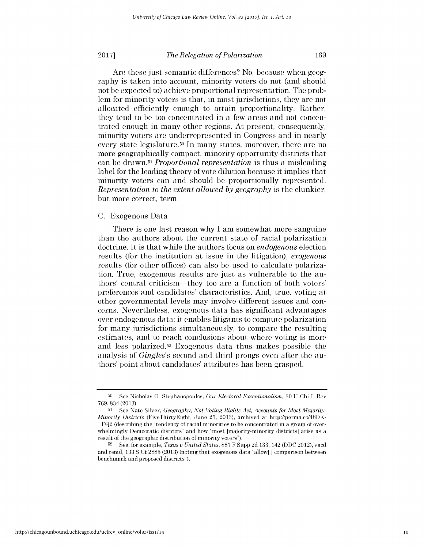Are these just semantic differences? No, because when geography is taken into account, minority voters do not (and should not be expected to) achieve proportional representation. The problem for minority voters is that, in most jurisdictions, they are not allocated efficiently enough to attain proportionality. Rather, they tend to be too concentrated in a few areas and not concentrated enough in many other regions. At present, consequently, minority voters are underrepresented in Congress and in nearly every state legislature.<sup>50</sup> In many states, moreover, there are no more geographically compact, minority opportunity districts that can be drawn.51 *Proportional representation is* thus a misleading label for the leading theory of vote dilution because it implies that minority voters can and should be proportionally represented. *Representation to the extent allowed by geography is* the clunkier, but more correct, term.

#### **C.** Exogenous Data

There is one last reason why **I** am somewhat more sanguine than the authors about the current state of racial polarization doctrine. It is that while the authors focus on *endogenous* election results (for the institution at issue in the litigation), *exogenous* results (for other offices) can also be used to calculate polarization. True, exogenous results are just as vulnerable to the authors' central criticism-they too are a function of both voters' preferences and candidates' characteristics. And, true, voting at other governmental levels may involve different issues and concerns. Nevertheless, exogenous data has significant advantages over endogenous data: it enables litigants to compute polarization for many jurisdictions simultaneously, to compare the resulting estimates, and to reach conclusions about where voting is more and less polarized.52 Exogenous data thus makes possible the analysis of *Gingles's* second and third prongs even after the authors' point about candidates' attributes has been grasped.

**<sup>50</sup>**See Nicholas **0.** Stephanopoulos, *Our Electoral Exceptionalism,* **80 U** Chi L Rev **769,** 834 **(2013).**

**<sup>51</sup> See** Nate Silver, *Geography, Not Voting Rights Act, Accounts for Most Majority-Minority Districts* (FiveThirtyEight, June **25, 2013),** archived at http://perma.cc/48DK-**LFQ2** (describing the "tendency of racial minorities to **be** concentrated in a group of overwhelmingly Democratic districts" and how "most [majority-minority districts] arise as a result of the geographic distribution of minority voters").

**<sup>52</sup>**See, for example, *Texas u United States,* **887** F Supp **2d 133,** 142 **(DDC** 2012), vacd and remd, **133 S** Ct **2885 (2013)** (noting that exogenous data "allow[] comparison between benchmark and proposed districts").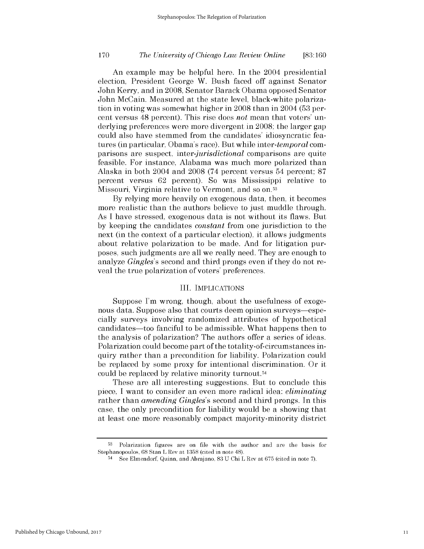## *The University of Chicago Law Review Online* **170 [83:160**

An example may be helpful here. In the 2004 presidential election, President George W. Bush faced off against Senator John Kerry, and in **2008,** Senator Barack Obama opposed Senator John McCain. Measured at the state level, black-white polarization in voting was somewhat higher in **2008** than in 2004 **(53** percent versus 48 percent). This rise does *not* mean that voters' underlying preferences were more divergent in **2008;** the larger gap could also have stemmed from the candidates' idiosyncratic features (in particular, Obama's race). But while *inter-temporal* comparisons are suspect, *inter-jurisdictional* comparisons are quite feasible. For instance, Alabama was much more polarized than Alaska in both 2004 and **2008** (74 percent versus 54 percent; **87** percent versus **62** percent). So was Mississippi relative to Missouri, Virginia relative to Vermont, and so on.<sup>53</sup>

**By** relying more heavily on exogenous data, then, it becomes more realistic than the authors believe to just muddle through. As **I** have stressed, exogenous data is not without its flaws. But **by** keeping the candidates *constant* from one jurisdiction to the next (in the context of a particular election), it allows judgments about relative polarization to be made. And for litigation purposes, such judgments are all we really need. They are enough to analyze *Gingles's* second and third prongs even **if** they do not reveal the true polarization of voters' preferences.

#### III. **IMPLICATIONS**

Suppose I'm wrong, though, about the usefulness of exogenous data. Suppose also that courts deem opinion surveys—especially surveys involving randomized attributes of hypothetical candidates-too fanciful to be admissible. What happens then to the analysis of polarization? The authors offer a series of ideas. Polarization could become part of the totality-of-circumstances inquiry rather than a precondition for liability. Polarization could be replaced **by** some proxy for intentional discrimination. Or it could be replaced **by** relative minority turnout. <sup>54</sup>

These are all interesting suggestions. But to conclude this piece, **I** want to consider an even more radical idea: *eliminating* rather than *amending Gingles's* second and third prongs. In this case, the only precondition for liability would be a showing that at least one more reasonably compact majority-minority district

**<sup>53</sup>**Polarization figures are on **file** with the author and are the basis for Stephanopoulos, **68** Stan L Rev at **1358** (cited in note 48).

<sup>54</sup>See Elmendorf, Quinn, and Abrajano, **83 U** Chi L Rev at **675** (cited in note **7).**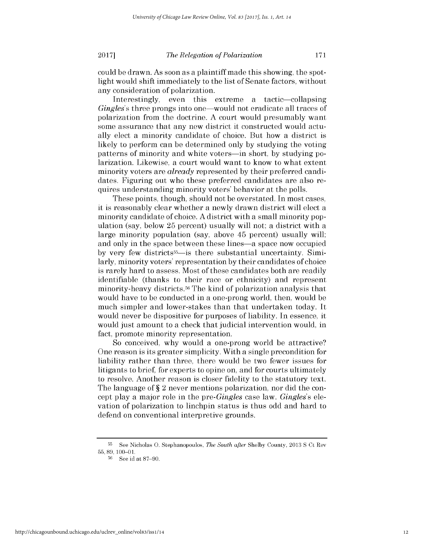could be drawn. As soon as a plaintiff made this showing, the spotlight would shift immediately to the list of Senate factors, without any consideration of polarization.

Interestingly, even this extreme a tactic-collapsing *Gingles's* three prongs into one—would not eradicate all traces of polarization from the doctrine. **A** court would presumably want some assurance that any new district it constructed would actually elect a minority candidate of choice. But how a district **is** likely to perform can be determined only **by** studying the voting patterns of minority and white voters-in short, **by** studying polarization. Likewise, a court would want to know to what extent minority voters are *already* represented **by** their preferred candidates. Figuring out who these preferred candidates are also requires understanding minority voters' behavior at the polls.

These points, though, should not be overstated. In most cases, it is reasonably clear whether a newly drawn district will elect a minority candidate of choice. **A** district with a small minority **pop**ulation (say, below **25** percent) usually will not; a district with a large minority population (say, above 45 percent) usually will; and only in the space between these lines—a space now occupied **by** very few districts55-is there substantial uncertainty. Similarly, minority voters' representation **by** their candidates of choice is rarely hard to assess. Most of these candidates both are readily identifiable (thanks to their race or ethnicity) and represent minority-heavy districts.<sup>56</sup> The kind of polarization analysis that would have to be conducted in a one-prong world, then, would be much simpler and lower-stakes than that undertaken today. It would never be dispositive for purposes of liability. In essence, it would just amount to a check that judicial intervention would, in fact, promote minority representation.

So conceived, why would a one-prong world be attractive? One reason is its greater simplicity. With a single precondition for liability rather than three, there would be two fewer issues for litigants to brief, for experts to opine on, and for courts ultimately to resolve. Another reason is closer fidelity to the statutory text. The language of **§** 2 never mentions polarization, nor **did** the concept play a major role in the *pre-Gingles* case law. *Gingles's ele*vation of polarization to linchpin status is thus odd and hard to defend on conventional interpretive grounds.

**<sup>55</sup>**See Nicholas **0.** Stephanopoulos, *The South after* **Shelby** County, **2013 S** Ct Rev **55, 89, 100-01.**

**<sup>56</sup>**See id at **87-90.**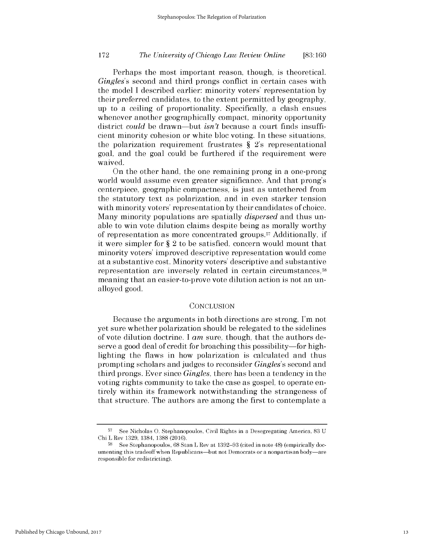## *The University of Chicago Law Review Online* **172 [83:160**

Perhaps the most important reason, though, is theoretical. *Gingles's* second and third prongs conflict in certain cases with the model **I** described earlier: minority voters' representation **by** their preferred candidates, to the extent permitted **by** geography, up to a ceiling of proportionality. Specifically, a clash ensues whenever another geographically compact, minority opportunity district *could* be drawn-but *isn't* because a court finds insufficient minority cohesion or white bloc voting. In these situations, the polarization requirement frustrates **§** 2's representational goal, and the goal could be furthered **if** the requirement were waived.

On the other hand, the one remaining prong in a one-prong world would assume even greater significance. And that prong's centerpiece, geographic compactness, is just as untethered from the statutory text as polarization, and in even starker tension with minority voters' representation **by** their candidates of choice. Many minority populations are spatially *dispersed* and thus unable to win vote dilution claims despite being as morally worthy of representation as more concentrated groups. <sup>5</sup>7 Additionally, **if** it were simpler for **§** 2 to be satisfied, concern would mount that minority voters' improved descriptive representation would come at a substantive cost. Minority voters' descriptive and substantive representation are inversely related in certain circumstances,<sup>58</sup> meaning that an easier-to-prove vote dilution action is not an unalloyed good.

#### **CONCLUSION**

Because the arguments in both directions are strong, I'm not yet sure whether polarization should be relegated to the sidelines of vote dilution doctrine. **I** *am* sure, though, that the authors deserve a good deal of credit for broaching this possibility-for **high**lighting the flaws in how polarization is calculated and thus prompting scholars and judges to reconsider *Gingles's* second and third prongs. Ever since *Gingles,* there has been a tendency in the voting rights community to take the case as gospel, to operate entirely within its framework notwithstanding the strangeness of that structure. The authors are among the first to contemplate a

**<sup>57</sup>**See Nicholas **0.** Stephanopoulos, Civil Rights in a Desegregating America, **83 U** Chi L Rev **1329,** 1384, **1388 (2016).**

**<sup>58</sup> See** Stephanopoulos, **68** Stan L Rev at **1392-93** (cited in note 48) (empirically documenting this tradeoff when Republicans-but not Democrats or a nonpartisan body-are responsible for redistricting).